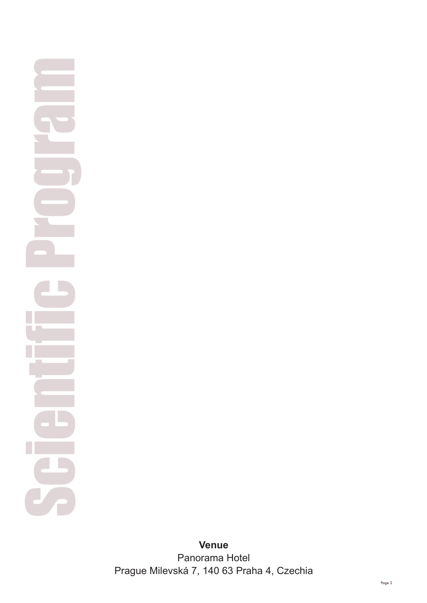## Scientifi c Program

**Venu e** Panorama Hotel Pra gue Milevská 7, 140 63 Praha 4, Czechia